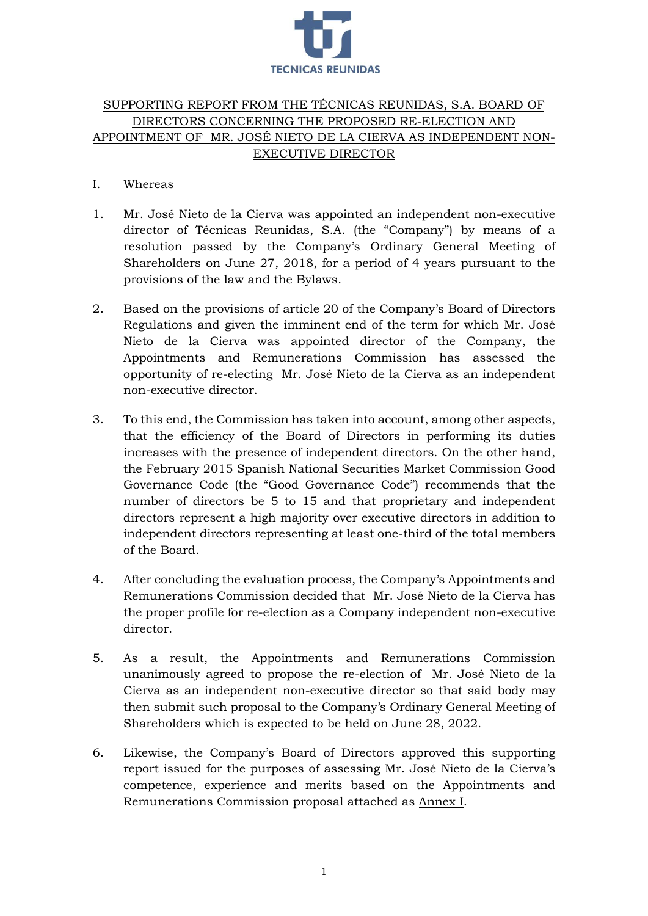

# SUPPORTING REPORT FROM THE TÉCNICAS REUNIDAS, S.A. BOARD OF DIRECTORS CONCERNING THE PROPOSED RE-ELECTION AND APPOINTMENT OF MR. JOSÉ NIETO DE LA CIERVA AS INDEPENDENT NON-EXECUTIVE DIRECTOR

# I. Whereas

- 1. Mr. José Nieto de la Cierva was appointed an independent non-executive director of Técnicas Reunidas, S.A. (the "Company") by means of a resolution passed by the Company's Ordinary General Meeting of Shareholders on June 27, 2018, for a period of 4 years pursuant to the provisions of the law and the Bylaws.
- 2. Based on the provisions of article 20 of the Company's Board of Directors Regulations and given the imminent end of the term for which Mr. José Nieto de la Cierva was appointed director of the Company, the Appointments and Remunerations Commission has assessed the opportunity of re-electing Mr. José Nieto de la Cierva as an independent non-executive director.
- 3. To this end, the Commission has taken into account, among other aspects, that the efficiency of the Board of Directors in performing its duties increases with the presence of independent directors. On the other hand, the February 2015 Spanish National Securities Market Commission Good Governance Code (the "Good Governance Code") recommends that the number of directors be 5 to 15 and that proprietary and independent directors represent a high majority over executive directors in addition to independent directors representing at least one-third of the total members of the Board.
- 4. After concluding the evaluation process, the Company's Appointments and Remunerations Commission decided that Mr. José Nieto de la Cierva has the proper profile for re-election as a Company independent non-executive director.
- 5. As a result, the Appointments and Remunerations Commission unanimously agreed to propose the re-election of Mr. José Nieto de la Cierva as an independent non-executive director so that said body may then submit such proposal to the Company's Ordinary General Meeting of Shareholders which is expected to be held on June 28, 2022.
- 6. Likewise, the Company's Board of Directors approved this supporting report issued for the purposes of assessing Mr. José Nieto de la Cierva's competence, experience and merits based on the Appointments and Remunerations Commission proposal attached as Annex I.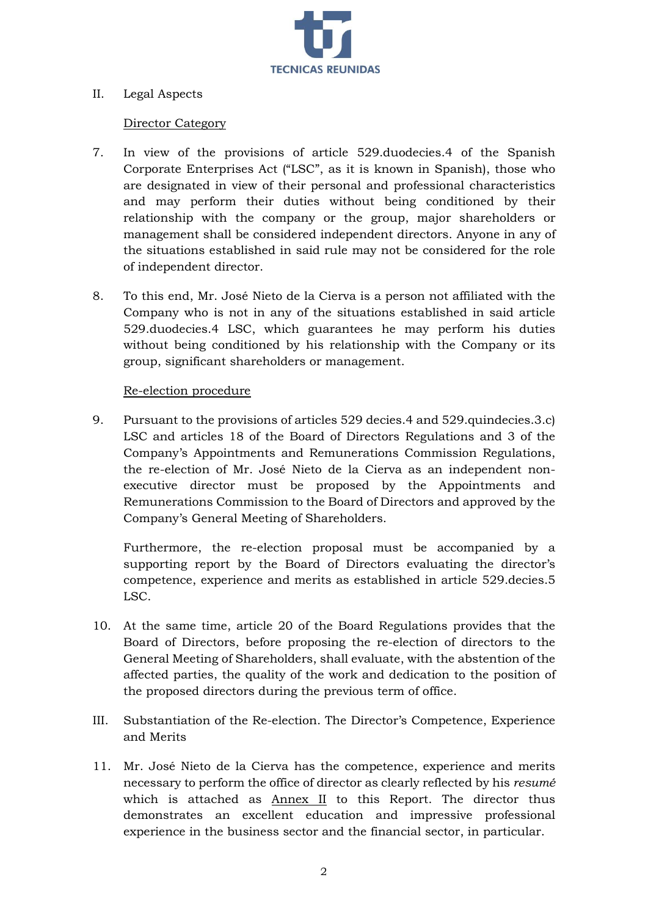

## II. Legal Aspects

#### Director Category

- 7. In view of the provisions of article 529.duodecies.4 of the Spanish Corporate Enterprises Act ("LSC", as it is known in Spanish), those who are designated in view of their personal and professional characteristics and may perform their duties without being conditioned by their relationship with the company or the group, major shareholders or management shall be considered independent directors. Anyone in any of the situations established in said rule may not be considered for the role of independent director.
- 8. To this end, Mr. José Nieto de la Cierva is a person not affiliated with the Company who is not in any of the situations established in said article 529.duodecies.4 LSC, which guarantees he may perform his duties without being conditioned by his relationship with the Company or its group, significant shareholders or management.

#### Re-election procedure

9. Pursuant to the provisions of articles 529 decies.4 and 529.quindecies.3.c) LSC and articles 18 of the Board of Directors Regulations and 3 of the Company's Appointments and Remunerations Commission Regulations, the re-election of Mr. José Nieto de la Cierva as an independent nonexecutive director must be proposed by the Appointments and Remunerations Commission to the Board of Directors and approved by the Company's General Meeting of Shareholders.

Furthermore, the re-election proposal must be accompanied by a supporting report by the Board of Directors evaluating the director's competence, experience and merits as established in article 529.decies.5 LSC.

- 10. At the same time, article 20 of the Board Regulations provides that the Board of Directors, before proposing the re-election of directors to the General Meeting of Shareholders, shall evaluate, with the abstention of the affected parties, the quality of the work and dedication to the position of the proposed directors during the previous term of office.
- III. Substantiation of the Re-election. The Director's Competence, Experience and Merits
- 11. Mr. José Nieto de la Cierva has the competence, experience and merits necessary to perform the office of director as clearly reflected by his *resumé* which is attached as Annex II to this Report. The director thus demonstrates an excellent education and impressive professional experience in the business sector and the financial sector, in particular.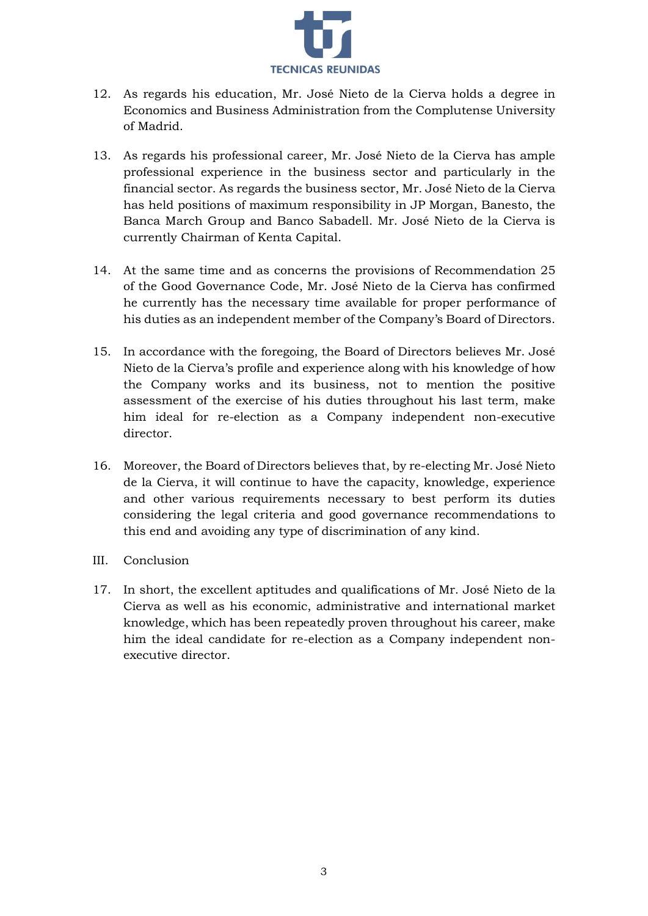

- 12. As regards his education, Mr. José Nieto de la Cierva holds a degree in Economics and Business Administration from the Complutense University of Madrid.
- 13. As regards his professional career, Mr. José Nieto de la Cierva has ample professional experience in the business sector and particularly in the financial sector. As regards the business sector, Mr. José Nieto de la Cierva has held positions of maximum responsibility in JP Morgan, Banesto, the Banca March Group and Banco Sabadell. Mr. José Nieto de la Cierva is currently Chairman of Kenta Capital.
- 14. At the same time and as concerns the provisions of Recommendation 25 of the Good Governance Code, Mr. José Nieto de la Cierva has confirmed he currently has the necessary time available for proper performance of his duties as an independent member of the Company's Board of Directors.
- 15. In accordance with the foregoing, the Board of Directors believes Mr. José Nieto de la Cierva's profile and experience along with his knowledge of how the Company works and its business, not to mention the positive assessment of the exercise of his duties throughout his last term, make him ideal for re-election as a Company independent non-executive director.
- 16. Moreover, the Board of Directors believes that, by re-electing Mr. José Nieto de la Cierva, it will continue to have the capacity, knowledge, experience and other various requirements necessary to best perform its duties considering the legal criteria and good governance recommendations to this end and avoiding any type of discrimination of any kind.
- III. Conclusion
- 17. In short, the excellent aptitudes and qualifications of Mr. José Nieto de la Cierva as well as his economic, administrative and international market knowledge, which has been repeatedly proven throughout his career, make him the ideal candidate for re-election as a Company independent nonexecutive director.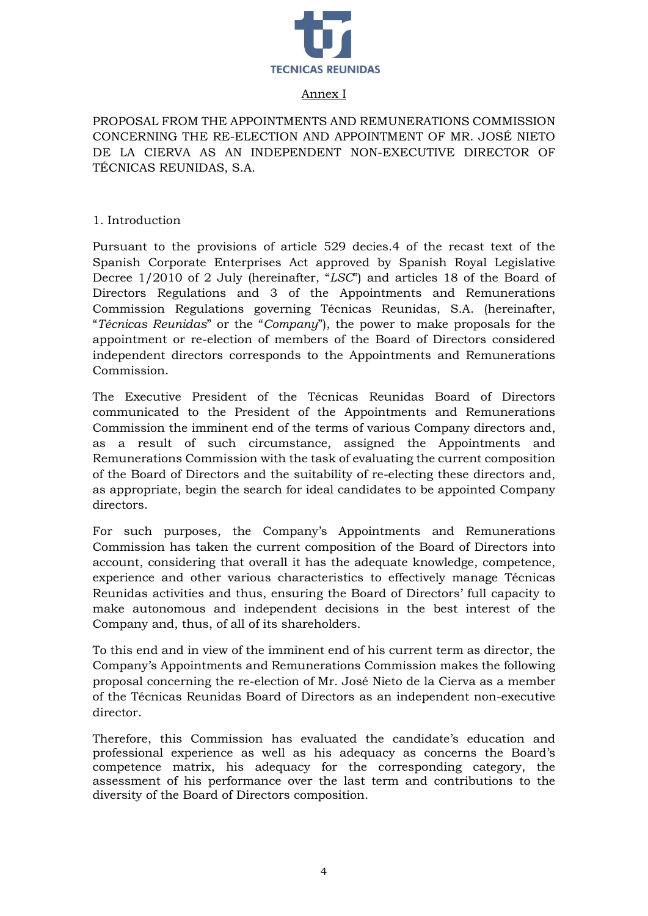

## Annex I

PROPOSAL FROM THE APPOINTMENTS AND REMUNERATIONS COMMISSION CONCERNING THE RE-ELECTION AND APPOINTMENT OF MR. JOSÉ NIETO DE LA CIERVA AS AN INDEPENDENT NON-EXECUTIVE DIRECTOR OF TÉCNICAS REUNIDAS, S.A.

1. Introduction

Pursuant to the provisions of article 529 decies.4 of the recast text of the Spanish Corporate Enterprises Act approved by Spanish Royal Legislative Decree 1/2010 of 2 July (hereinafter, "*LSC*") and articles 18 of the Board of Directors Regulations and 3 of the Appointments and Remunerations Commission Regulations governing Técnicas Reunidas, S.A. (hereinafter, "*Técnicas Reunidas*" or the "*Company*"), the power to make proposals for the appointment or re-election of members of the Board of Directors considered independent directors corresponds to the Appointments and Remunerations Commission.

The Executive President of the Técnicas Reunidas Board of Directors communicated to the President of the Appointments and Remunerations Commission the imminent end of the terms of various Company directors and, as a result of such circumstance, assigned the Appointments and Remunerations Commission with the task of evaluating the current composition of the Board of Directors and the suitability of re-electing these directors and, as appropriate, begin the search for ideal candidates to be appointed Company directors.

For such purposes, the Company's Appointments and Remunerations Commission has taken the current composition of the Board of Directors into account, considering that overall it has the adequate knowledge, competence, experience and other various characteristics to effectively manage Técnicas Reunidas activities and thus, ensuring the Board of Directors' full capacity to make autonomous and independent decisions in the best interest of the Company and, thus, of all of its shareholders.

To this end and in view of the imminent end of his current term as director, the Company's Appointments and Remunerations Commission makes the following proposal concerning the re-election of Mr. José Nieto de la Cierva as a member of the Técnicas Reunidas Board of Directors as an independent non-executive director.

Therefore, this Commission has evaluated the candidate's education and professional experience as well as his adequacy as concerns the Board's competence matrix, his adequacy for the corresponding category, the assessment of his performance over the last term and contributions to the diversity of the Board of Directors composition.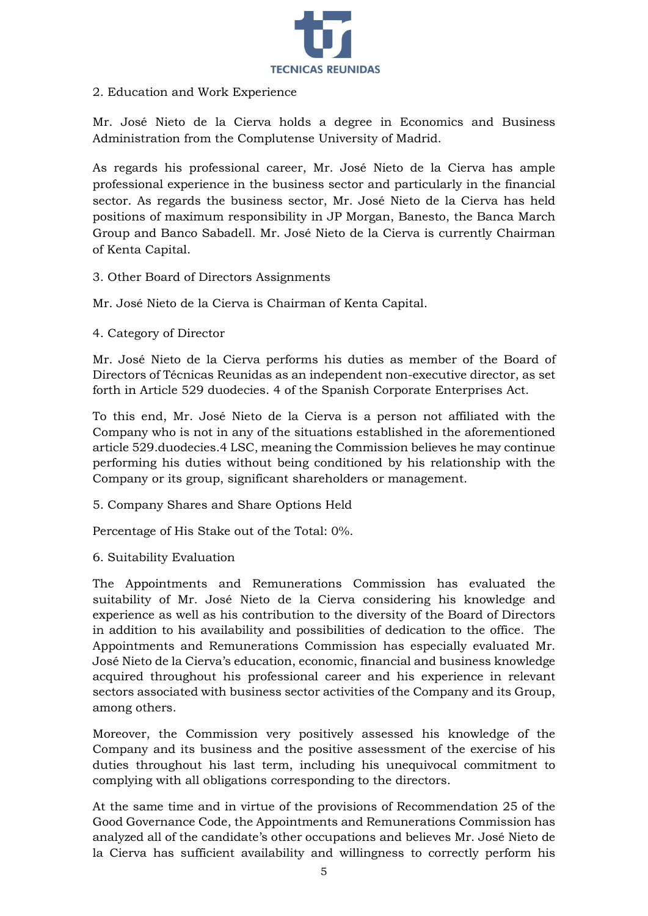

# 2. Education and Work Experience

Mr. José Nieto de la Cierva holds a degree in Economics and Business Administration from the Complutense University of Madrid.

As regards his professional career, Mr. José Nieto de la Cierva has ample professional experience in the business sector and particularly in the financial sector. As regards the business sector, Mr. José Nieto de la Cierva has held positions of maximum responsibility in JP Morgan, Banesto, the Banca March Group and Banco Sabadell. Mr. José Nieto de la Cierva is currently Chairman of Kenta Capital.

## 3. Other Board of Directors Assignments

Mr. José Nieto de la Cierva is Chairman of Kenta Capital.

4. Category of Director

Mr. José Nieto de la Cierva performs his duties as member of the Board of Directors of Técnicas Reunidas as an independent non-executive director, as set forth in Article 529 duodecies. 4 of the Spanish Corporate Enterprises Act.

To this end, Mr. José Nieto de la Cierva is a person not affiliated with the Company who is not in any of the situations established in the aforementioned article 529.duodecies.4 LSC, meaning the Commission believes he may continue performing his duties without being conditioned by his relationship with the Company or its group, significant shareholders or management.

5. Company Shares and Share Options Held

Percentage of His Stake out of the Total: 0%.

6. Suitability Evaluation

The Appointments and Remunerations Commission has evaluated the suitability of Mr. José Nieto de la Cierva considering his knowledge and experience as well as his contribution to the diversity of the Board of Directors in addition to his availability and possibilities of dedication to the office. The Appointments and Remunerations Commission has especially evaluated Mr. José Nieto de la Cierva's education, economic, financial and business knowledge acquired throughout his professional career and his experience in relevant sectors associated with business sector activities of the Company and its Group, among others.

Moreover, the Commission very positively assessed his knowledge of the Company and its business and the positive assessment of the exercise of his duties throughout his last term, including his unequivocal commitment to complying with all obligations corresponding to the directors.

At the same time and in virtue of the provisions of Recommendation 25 of the Good Governance Code, the Appointments and Remunerations Commission has analyzed all of the candidate's other occupations and believes Mr. José Nieto de la Cierva has sufficient availability and willingness to correctly perform his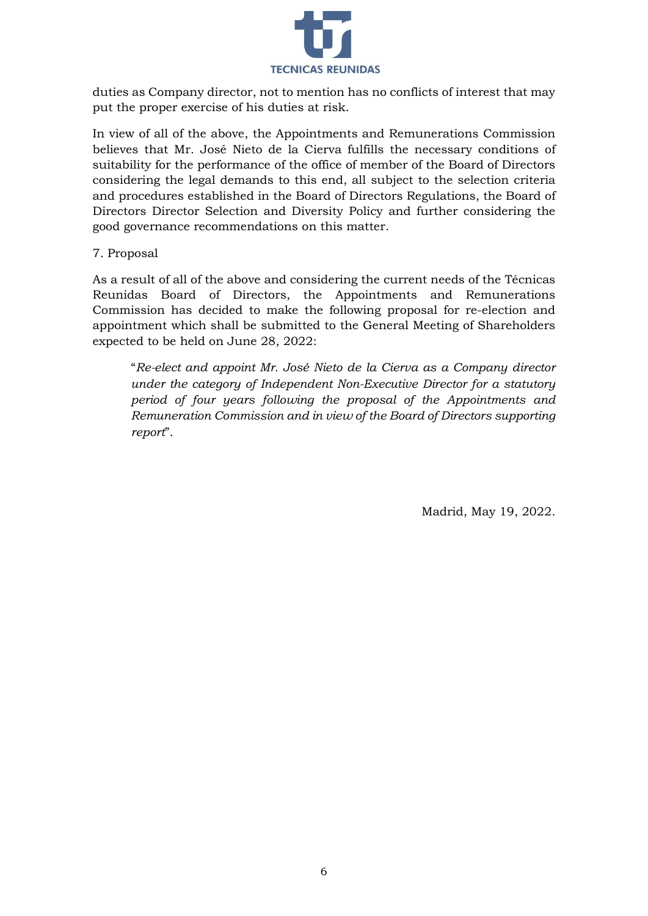

duties as Company director, not to mention has no conflicts of interest that may put the proper exercise of his duties at risk.

In view of all of the above, the Appointments and Remunerations Commission believes that Mr. José Nieto de la Cierva fulfills the necessary conditions of suitability for the performance of the office of member of the Board of Directors considering the legal demands to this end, all subject to the selection criteria and procedures established in the Board of Directors Regulations, the Board of Directors Director Selection and Diversity Policy and further considering the good governance recommendations on this matter.

7. Proposal

As a result of all of the above and considering the current needs of the Técnicas Reunidas Board of Directors, the Appointments and Remunerations Commission has decided to make the following proposal for re-election and appointment which shall be submitted to the General Meeting of Shareholders expected to be held on June 28, 2022:

"*Re-elect and appoint Mr. José Nieto de la Cierva as a Company director under the category of Independent Non-Executive Director for a statutory period of four years following the proposal of the Appointments and Remuneration Commission and in view of the Board of Directors supporting report*".

Madrid, May 19, 2022.